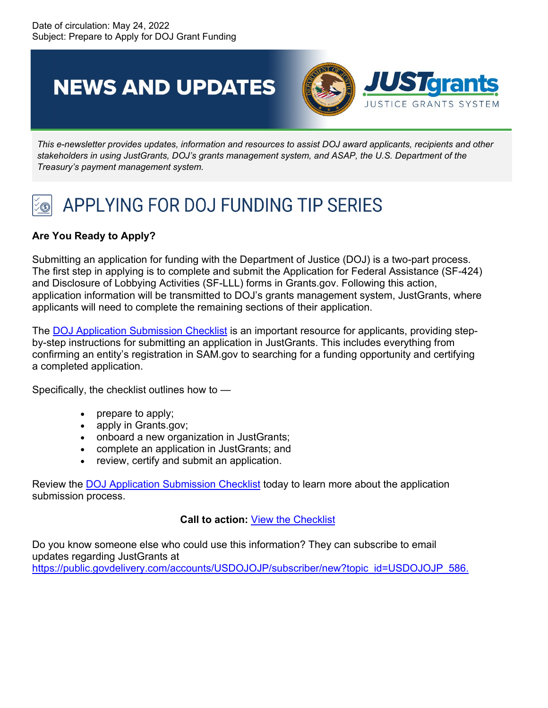**NEWS AND UPDATES** 



*This e-newsletter provides updates, information and resources to assist DOJ award applicants, recipients and other stakeholders in using JustGrants, DOJ's grants management system, and ASAP, the U.S. Department of the Treasury's payment management system.*

## APPLYING FOR DOJ FUNDING TIP SERIES

## **Are You Ready to Apply?**

Submitting an application for funding with the Department of Justice (DOJ) is a two-part process. The first step in applying is to complete and submit the Application for Federal Assistance (SF-424) and Disclosure of Lobbying Activities (SF-LLL) forms in Grants.gov. Following this action, application information will be transmitted to DOJ's grants management system, JustGrants, where applicants will need to complete the remaining sections of their application.

The [DOJ Application Submission Checklist](https://urldefense.us/v3/__https:/protect2.fireeye.com/v1/url?k=7cf4a1f0-236f990b-7cf38515-ac1f6b0176a2-d522f21390aeaf86&q=1&e=89feaba6-7340-4d6a-b3e6-c76041a2de4f&u=https*3A*2F*2Furldefense.us*2Fv3*2F__https*3A*2Fjusticegrants.usdoj.gov*2Fsites*2Fg*2Ffiles*2Fxyckuh296*2Ffiles*2Fmedia*2Fdocument*2Fappln-submission-checklist.pdf__*3B*21*21Az_Xe1LHMyBq19w*21ZU-nILui7-Hya0glpSYTk9XjQzEUA2jZcElzkahrH3aYGV8a0VYQA5sCfOOp16ok*24__;JSUlJSUlJSUlJSUlJSUlJSUlJSU!!Az_Xe1LHMyBq19w!Zd4hIr62JMzvymoqjhlzz5AKl34-GMNrSObLihdz89C17VRbRhcowzUjRNrFRics$) is an important resource for applicants, providing stepby-step instructions for submitting an application in JustGrants. This includes everything from confirming an entity's registration in SAM.gov to searching for a funding opportunity and certifying a completed application.

Specifically, the checklist outlines how to —

- prepare to apply;
- apply in Grants.gov;
- onboard a new organization in JustGrants;
- complete an application in JustGrants; and
- review, certify and submit an application.

Review the [DOJ Application Submission Checklist](https://urldefense.us/v3/__https:/protect2.fireeye.com/v1/url?k=2d8d1d3e-721625c5-2d8a39db-ac1f6b0176a2-393d6d6007b0096d&q=1&e=89feaba6-7340-4d6a-b3e6-c76041a2de4f&u=https*3A*2F*2Furldefense.us*2Fv3*2F__https*3A*2Fjusticegrants.usdoj.gov*2Fsites*2Fg*2Ffiles*2Fxyckuh296*2Ffiles*2Fmedia*2Fdocument*2Fappln-submission-checklist.pdf__*3B*21*21Az_Xe1LHMyBq19w*21ZU-nILui7-Hya0glpSYTk9XjQzEUA2jZcElzkahrH3aYGV8a0VYQA5sCfOOp16ok*24__;JSUlJSUlJSUlJSUlJSUlJSUlJSU!!Az_Xe1LHMyBq19w!Zd4hIr62JMzvymoqjhlzz5AKl34-GMNrSObLihdz89C17VRbRhcowzUjRNxfFNN4$) today to learn more about the application submission process.

## **Call to action:** [View the Checklist](https://urldefense.us/v3/__https:/protect2.fireeye.com/v1/url?k=b78884fd-e813bc06-b78fa018-ac1f6b0176a2-111d59d80f26aa31&q=1&e=89feaba6-7340-4d6a-b3e6-c76041a2de4f&u=https*3A*2F*2Furldefense.us*2Fv3*2F__https*3A*2Fjusticegrants.usdoj.gov*2Fsites*2Fg*2Ffiles*2Fxyckuh296*2Ffiles*2Fmedia*2Fdocument*2Fappln-submission-checklist.pdf__*3B*21*21Az_Xe1LHMyBq19w*21ZU-nILui7-Hya0glpSYTk9XjQzEUA2jZcElzkahrH3aYGV8a0VYQA5sCfOOp16ok*24__;JSUlJSUlJSUlJSUlJSUlJSUlJSU!!Az_Xe1LHMyBq19w!Zd4hIr62JMzvymoqjhlzz5AKl34-GMNrSObLihdz89C17VRbRhcowzUjRIw8MUyV$)

Do you know someone else who could use this information? They can subscribe to email updates regarding JustGrants at [https://public.govdelivery.com/accounts/USDOJOJP/subscriber/new?topic\\_id=USDOJOJP\\_586.](https://public.govdelivery.com/accounts/USDOJOJP/subscriber/new?topic_id=USDOJOJP_586)